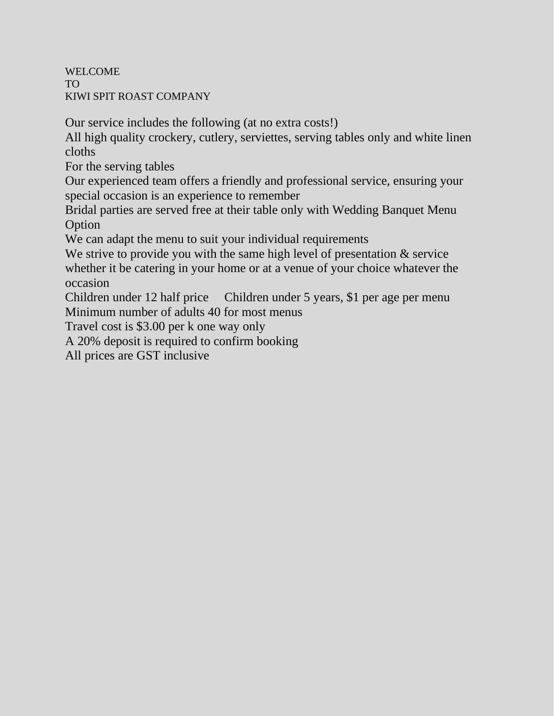WELCOME TO KIWI SPIT ROAST COMPANY

Our service includes the following (at no extra costs!)

All high quality crockery, cutlery, serviettes, serving tables only and white linen cloths

For the serving tables

Our experienced team offers a friendly and professional service, ensuring your special occasion is an experience to remember

Bridal parties are served free at their table only with Wedding Banquet Menu **Option** 

We can adapt the menu to suit your individual requirements

We strive to provide you with the same high level of presentation  $\&$  service whether it be catering in your home or at a venue of your choice whatever the occasion

Children under 12 half price Children under 5 years, \$1 per age per menu Minimum number of adults 40 for most menus

Travel cost is \$3.00 per k one way only

A 20% deposit is required to confirm booking

All prices are GST inclusive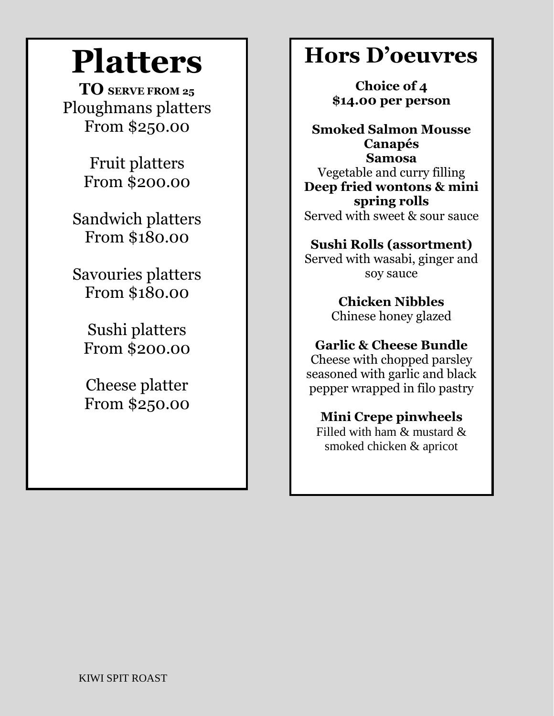# **Platters**

**TO SERVE FROM <sup>25</sup>** Ploughmans platters From \$250.00

> Fruit platters From \$200.00

Sandwich platters From \$180.00

Savouries platters From \$180.00

Sushi platters From \$200.00

Cheese platter From \$250.00

# **Hors D'oeuvres**

**Choice of 4 \$14.00 per person**

**Smoked Salmon Mousse Canapés Samosa** Vegetable and curry filling **Deep fried wontons & mini spring rolls** Served with sweet & sour sauce

**Sushi Rolls (assortment)** Served with wasabi, ginger and soy sauce

> **Chicken Nibbles** Chinese honey glazed

**Garlic & Cheese Bundle**

Cheese with chopped parsley seasoned with garlic and black pepper wrapped in filo pastry

**Mini Crepe pinwheels**

Filled with ham & mustard & smoked chicken & apricot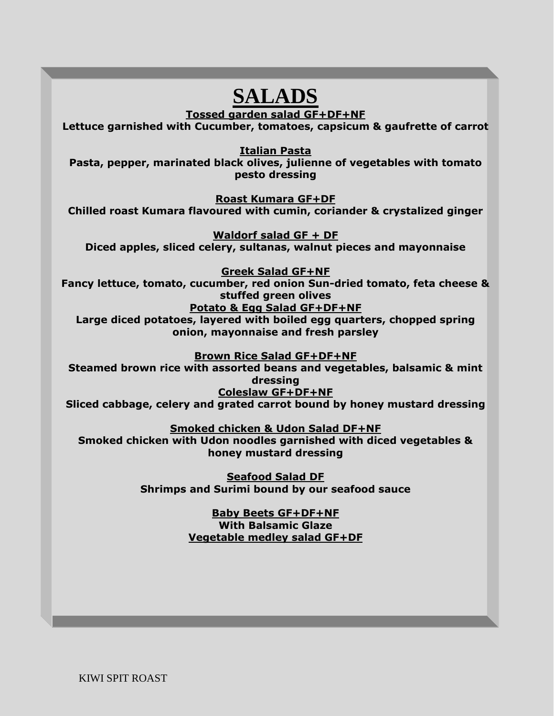# **SALADS**

**Tossed garden salad GF+DF+NF**

**Lettuce garnished with Cucumber, tomatoes, capsicum & gaufrette of carrot**

**Italian Pasta**

**Pasta, pepper, marinated black olives, julienne of vegetables with tomato pesto dressing**

**Roast Kumara GF+DF Chilled roast Kumara flavoured with cumin, coriander & crystalized ginger**

**Waldorf salad GF + DF Diced apples, sliced celery, sultanas, walnut pieces and mayonnaise**

**Greek Salad GF+NF**

**Fancy lettuce, tomato, cucumber, red onion Sun-dried tomato, feta cheese & stuffed green olives**

**Potato & Egg Salad GF+DF+NF**

**Large diced potatoes, layered with boiled egg quarters, chopped spring onion, mayonnaise and fresh parsley**

**Brown Rice Salad GF+DF+NF**

**Steamed brown rice with assorted beans and vegetables, balsamic & mint dressing Coleslaw GF+DF+NF**

**Sliced cabbage, celery and grated carrot bound by honey mustard dressing**

**Smoked chicken & Udon Salad DF+NF Smoked chicken with Udon noodles garnished with diced vegetables & honey mustard dressing**

> **Seafood Salad DF Shrimps and Surimi bound by our seafood sauce**

> > **Baby Beets GF+DF+NF With Balsamic Glaze Vegetable medley salad GF+DF**

KIWI SPIT ROAST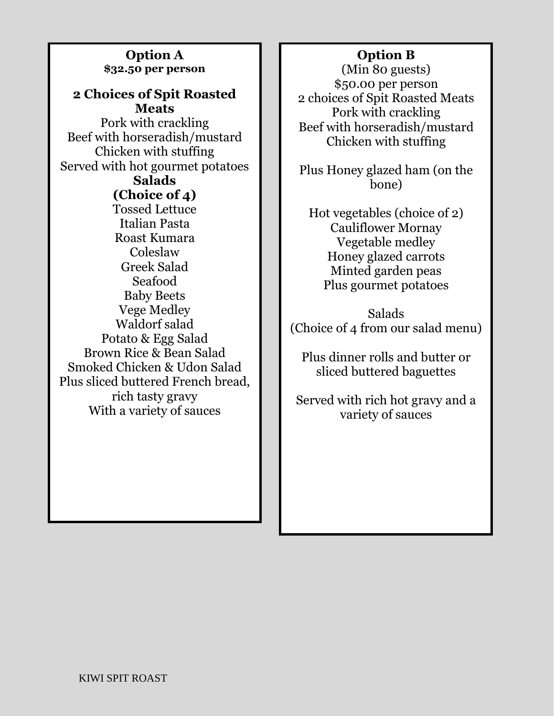### **Option A \$32.50 per person**

## **2 Choices of Spit Roasted Meats**

Pork with crackling Beef with horseradish/mustard Chicken with stuffing Served with hot gourmet potatoes **Salads**

# **(Choice of 4)**

Tossed Lettuce Italian Pasta Roast Kumara Coleslaw Greek Salad Seafood Baby Beets Vege Medley Waldorf salad Potato & Egg Salad Brown Rice & Bean Salad Smoked Chicken & Udon Salad Plus sliced buttered French bread, rich tasty gravy With a variety of sauces

# **Option B**

(Min 80 guests) \$50.00 per person 2 choices of Spit Roasted Meats Pork with crackling Beef with horseradish/mustard Chicken with stuffing

Plus Honey glazed ham (on the bone)

Hot vegetables (choice of 2) Cauliflower Mornay Vegetable medley Honey glazed carrots Minted garden peas Plus gourmet potatoes

Salads (Choice of 4 from our salad menu)

Plus dinner rolls and butter or sliced buttered baguettes

Served with rich hot gravy and a variety of sauces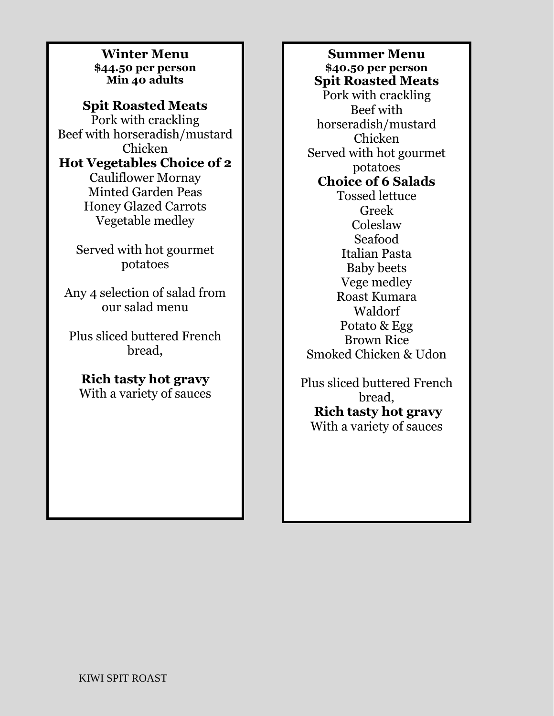**Winter Menu \$44.50 per person Min 40 adults**

**Spit Roasted Meats** Pork with crackling Beef with horseradish/mustard Chicken **Hot Vegetables Choice of 2** Cauliflower Mornay Minted Garden Peas Honey Glazed Carrots Vegetable medley

> Served with hot gourmet potatoes

Any 4 selection of salad from our salad menu

Plus sliced buttered French bread,

**Rich tasty hot gravy** With a variety of sauces

**Summer Menu \$40.50 per person Spit Roasted Meats** Pork with crackling Beef with horseradish/mustard Chicken Served with hot gourmet potatoes **Choice of 6 Salads** Tossed lettuce Greek Coleslaw Seafood Italian Pasta Baby beets Vege medley Roast Kumara Waldorf Potato & Egg Brown Rice Smoked Chicken & Udon

Plus sliced buttered French bread, **Rich tasty hot gravy** With a variety of sauces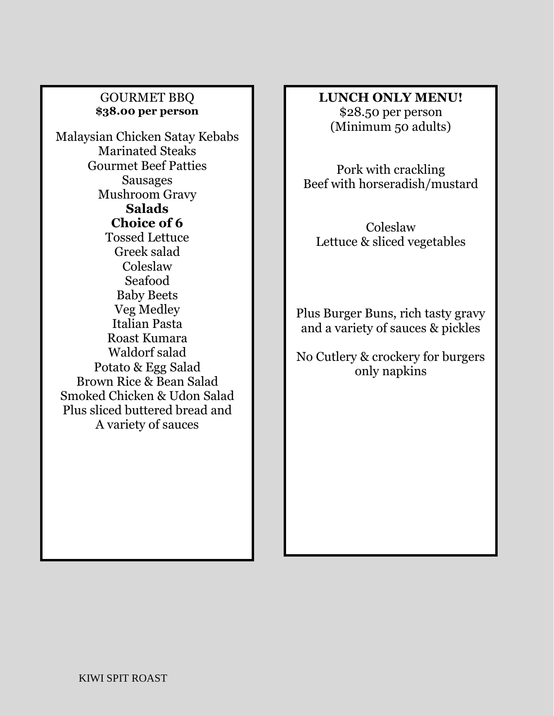#### GOURMET BBQ **\$38.00 per person**

Malaysian Chicken Satay Kebabs Marinated Steaks Gourmet Beef Patties Sausages Mushroom Gravy **Salads Choice of 6** Tossed Lettuce Greek salad Coleslaw Seafood Baby Beets Veg Medley Italian Pasta Roast Kumara Waldorf salad Potato & Egg Salad Brown Rice & Bean Salad Smoked Chicken & Udon Salad Plus sliced buttered bread and A variety of sauces

### **LUNCH ONLY MENU!** \$28.50 per person (Minimum 50 adults)

Pork with crackling Beef with horseradish/mustard

Coleslaw Lettuce & sliced vegetables

Plus Burger Buns, rich tasty gravy and a variety of sauces & pickles

No Cutlery & crockery for burgers only napkins